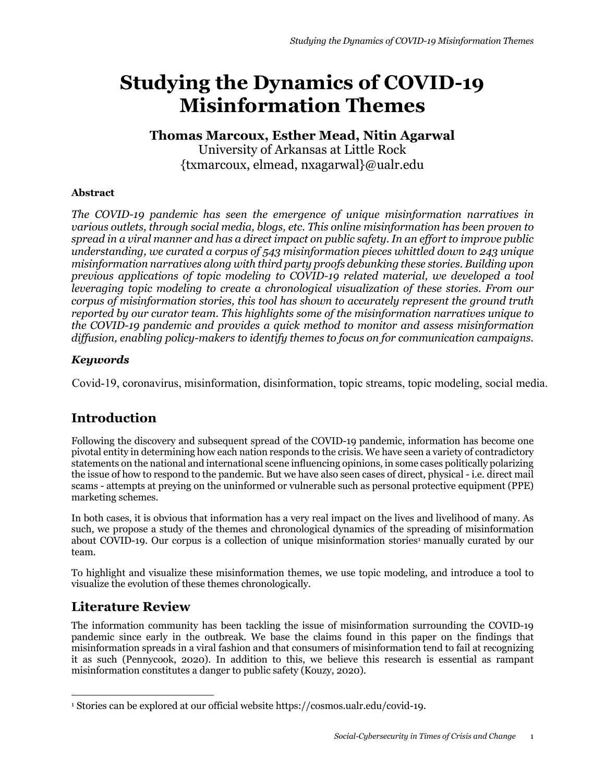# **Studying the Dynamics of COVID-19 Misinformation Themes**

# **Thomas Marcoux, Esther Mead, Nitin Agarwal**

University of Arkansas at Little Rock {txmarcoux, elmead, nxagarwal}@ualr.edu

### **Abstract**

*The COVID-19 pandemic has seen the emergence of unique misinformation narratives in various outlets, through social media, blogs, etc. This online misinformation has been proven to spread in a viral manner and has a direct impact on public safety. In an effort to improve public understanding, we curated a corpus of 543 misinformation pieces whittled down to 243 unique misinformation narratives along with third party proofs debunking these stories. Building upon previous applications of topic modeling to COVID-19 related material, we developed a tool leveraging topic modeling to create a chronological visualization of these stories. From our corpus of misinformation stories, this tool has shown to accurately represent the ground truth reported by our curator team. This highlights some of the misinformation narratives unique to the COVID-19 pandemic and provides a quick method to monitor and assess misinformation diffusion, enabling policy-makers to identify themes to focus on for communication campaigns.*

## *Keywords*

Covid-19, coronavirus, misinformation, disinformation, topic streams, topic modeling, social media.

# **Introduction**

Following the discovery and subsequent spread of the COVID-19 pandemic, information has become one pivotal entity in determining how each nation responds to the crisis. We have seen a variety of contradictory statements on the national and international scene influencing opinions, in some cases politically polarizing the issue of how to respond to the pandemic. But we have also seen cases of direct, physical - i.e. direct mail scams - attempts at preying on the uninformed or vulnerable such as personal protective equipment (PPE) marketing schemes.

In both cases, it is obvious that information has a very real impact on the lives and livelihood of many. As such, we propose a study of the themes and chronological dynamics of the spreading of misinformation about COVID-19. Our corpus is a collection of unique misinformation stories<sup>1</sup> manually curated by our team.

To highlight and visualize these misinformation themes, we use topic modeling, and introduce a tool to visualize the evolution of these themes chronologically.

# **Literature Review**

The information community has been tackling the issue of misinformation surrounding the COVID-19 pandemic since early in the outbreak. We base the claims found in this paper on the findings that misinformation spreads in a viral fashion and that consumers of misinformation tend to fail at recognizing it as such (Pennycook, 2020). In addition to this, we believe this research is essential as rampant misinformation constitutes a danger to public safety (Kouzy, 2020).

<sup>1</sup> Stories can be explored at our official website https://cosmos.ualr.edu/covid-19.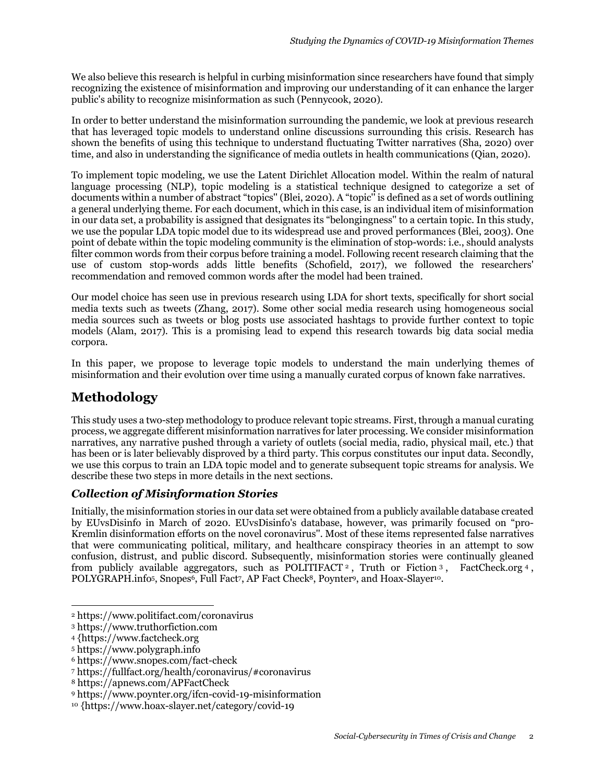We also believe this research is helpful in curbing misinformation since researchers have found that simply recognizing the existence of misinformation and improving our understanding of it can enhance the larger public's ability to recognize misinformation as such (Pennycook, 2020).

In order to better understand the misinformation surrounding the pandemic, we look at previous research that has leveraged topic models to understand online discussions surrounding this crisis. Research has shown the benefits of using this technique to understand fluctuating Twitter narratives (Sha, 2020) over time, and also in understanding the significance of media outlets in health communications (Qian, 2020).

To implement topic modeling, we use the Latent Dirichlet Allocation model. Within the realm of natural language processing (NLP), topic modeling is a statistical technique designed to categorize a set of documents within a number of abstract "topics'' (Blei, 2020). A "topic'' is defined as a set of words outlining a general underlying theme. For each document, which in this case, is an individual item of misinformation in our data set, a probability is assigned that designates its "belongingness'' to a certain topic. In this study, we use the popular LDA topic model due to its widespread use and proved performances (Blei, 2003). One point of debate within the topic modeling community is the elimination of stop-words: i.e., should analysts filter common words from their corpus before training a model. Following recent research claiming that the use of custom stop-words adds little benefits (Schofield, 2017), we followed the researchers' recommendation and removed common words after the model had been trained.

Our model choice has seen use in previous research using LDA for short texts, specifically for short social media texts such as tweets (Zhang, 2017). Some other social media research using homogeneous social media sources such as tweets or blog posts use associated hashtags to provide further context to topic models (Alam, 2017). This is a promising lead to expend this research towards big data social media corpora.

In this paper, we propose to leverage topic models to understand the main underlying themes of misinformation and their evolution over time using a manually curated corpus of known fake narratives.

# **Methodology**

This study uses a two-step methodology to produce relevant topic streams. First, through a manual curating process, we aggregate different misinformation narratives for later processing. We consider misinformation narratives, any narrative pushed through a variety of outlets (social media, radio, physical mail, etc.) that has been or is later believably disproved by a third party. This corpus constitutes our input data. Secondly, we use this corpus to train an LDA topic model and to generate subsequent topic streams for analysis. We describe these two steps in more details in the next sections.

## *Collection of Misinformation Stories*

Initially, the misinformation stories in our data set were obtained from a publicly available database created by EUvsDisinfo in March of 2020. EUvsDisinfo's database, however, was primarily focused on "pro-Kremlin disinformation efforts on the novel coronavirus''. Most of these items represented false narratives that were communicating political, military, and healthcare conspiracy theories in an attempt to sow confusion, distrust, and public discord. Subsequently, misinformation stories were continually gleaned from publicly available aggregators, such as POLITIFACT<sup>2</sup>, Truth or Fiction 3, FactCheck.org 4, POLYGRAPH.info<sup>5</sup>, Snopes<sup>6</sup>, Full Fact<sup>7</sup>, AP Fact Check<sup>8</sup>, Poynter<sup>9</sup>, and Hoax-Slayer<sup>10</sup>.

<sup>2</sup> https://www.politifact.com/coronavirus

<sup>3</sup> https://www.truthorfiction.com

<sup>4</sup> {https://www.factcheck.org

<sup>5</sup> https://www.polygraph.info

<sup>6</sup> https://www.snopes.com/fact-check

<sup>7</sup> https://fullfact.org/health/coronavirus/#coronavirus

<sup>8</sup> https://apnews.com/APFactCheck

<sup>9</sup> https://www.poynter.org/ifcn-covid-19-misinformation

<sup>10</sup> {https://www.hoax-slayer.net/category/covid-19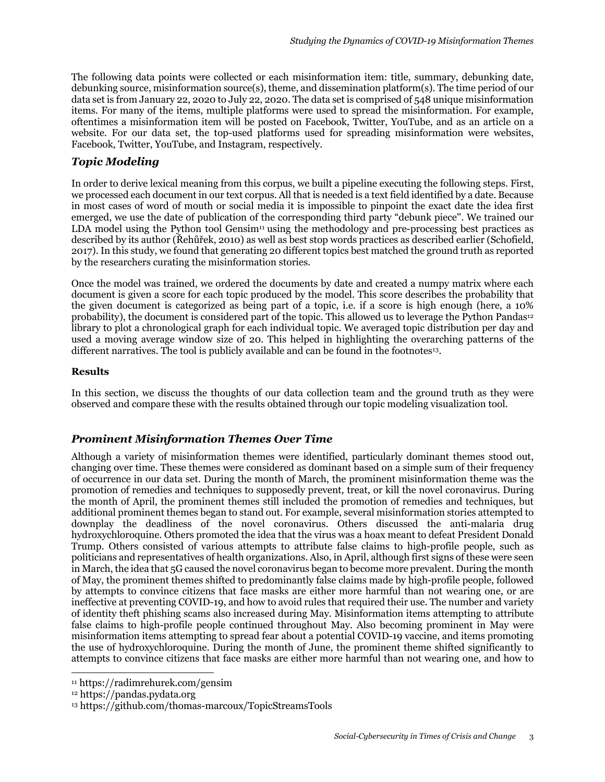The following data points were collected or each misinformation item: title, summary, debunking date, debunking source, misinformation source(s), theme, and dissemination platform(s). The time period of our data set is from January 22, 2020 to July 22, 2020. The data set is comprised of 548 unique misinformation items. For many of the items, multiple platforms were used to spread the misinformation. For example, oftentimes a misinformation item will be posted on Facebook, Twitter, YouTube, and as an article on a website. For our data set, the top-used platforms used for spreading misinformation were websites, Facebook, Twitter, YouTube, and Instagram, respectively.

## *Topic Modeling*

In order to derive lexical meaning from this corpus, we built a pipeline executing the following steps. First, we processed each document in our text corpus. All that is needed is a text field identified by a date. Because in most cases of word of mouth or social media it is impossible to pinpoint the exact date the idea first emerged, we use the date of publication of the corresponding third party "debunk piece''. We trained our LDA model using the Python tool Gensim<sup>11</sup> using the methodology and pre-processing best practices as described by its author (Řehůřek, 2010) as well as best stop words practices as described earlier (Schofield, 2017). In this study, we found that generating 20 different topics best matched the ground truth as reported by the researchers curating the misinformation stories.

Once the model was trained, we ordered the documents by date and created a numpy matrix where each document is given a score for each topic produced by the model. This score describes the probability that the given document is categorized as being part of a topic, i.e. if a score is high enough (here, a 10% probability), the document is considered part of the topic. This allowed us to leverage the Python Pandas12 library to plot a chronological graph for each individual topic. We averaged topic distribution per day and used a moving average window size of 20. This helped in highlighting the overarching patterns of the different narratives. The tool is publicly available and can be found in the footnotes13.

#### **Results**

In this section, we discuss the thoughts of our data collection team and the ground truth as they were observed and compare these with the results obtained through our topic modeling visualization tool.

### *Prominent Misinformation Themes Over Time*

Although a variety of misinformation themes were identified, particularly dominant themes stood out, changing over time. These themes were considered as dominant based on a simple sum of their frequency of occurrence in our data set. During the month of March, the prominent misinformation theme was the promotion of remedies and techniques to supposedly prevent, treat, or kill the novel coronavirus. During the month of April, the prominent themes still included the promotion of remedies and techniques, but additional prominent themes began to stand out. For example, several misinformation stories attempted to downplay the deadliness of the novel coronavirus. Others discussed the anti-malaria drug hydroxychloroquine. Others promoted the idea that the virus was a hoax meant to defeat President Donald Trump. Others consisted of various attempts to attribute false claims to high-profile people, such as politicians and representatives of health organizations. Also, in April, although first signs of these were seen in March, the idea that 5G caused the novel coronavirus began to become more prevalent. During the month of May, the prominent themes shifted to predominantly false claims made by high-profile people, followed by attempts to convince citizens that face masks are either more harmful than not wearing one, or are ineffective at preventing COVID-19, and how to avoid rules that required their use. The number and variety of identity theft phishing scams also increased during May. Misinformation items attempting to attribute false claims to high-profile people continued throughout May. Also becoming prominent in May were misinformation items attempting to spread fear about a potential COVID-19 vaccine, and items promoting the use of hydroxychloroquine. During the month of June, the prominent theme shifted significantly to attempts to convince citizens that face masks are either more harmful than not wearing one, and how to

<sup>11</sup> https://radimrehurek.com/gensim

<sup>12</sup> https://pandas.pydata.org

<sup>13</sup> https://github.com/thomas-marcoux/TopicStreamsTools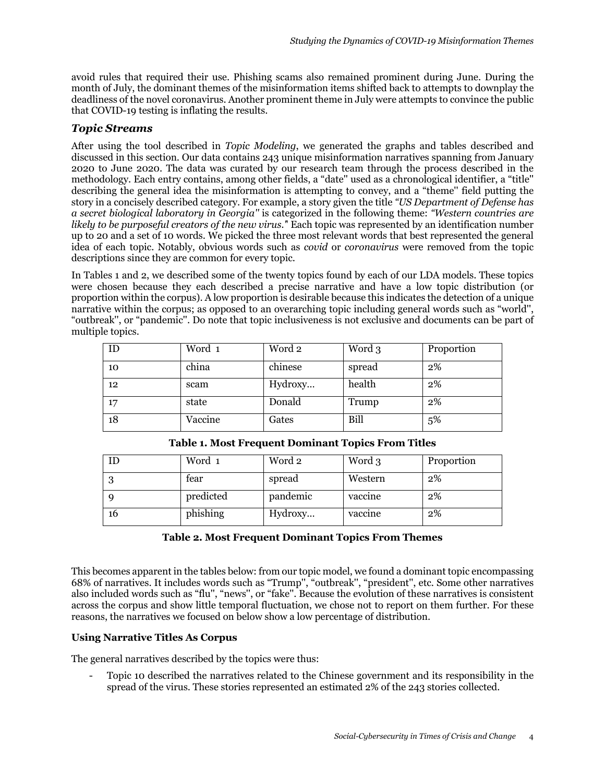avoid rules that required their use. Phishing scams also remained prominent during June. During the month of July, the dominant themes of the misinformation items shifted back to attempts to downplay the deadliness of the novel coronavirus. Another prominent theme in July were attempts to convince the public that COVID-19 testing is inflating the results.

#### *Topic Streams*

After using the tool described in *Topic Modeling*, we generated the graphs and tables described and discussed in this section. Our data contains 243 unique misinformation narratives spanning from January 2020 to June 2020. The data was curated by our research team through the process described in the methodology. Each entry contains, among other fields, a "date'' used as a chronological identifier, a "title'' describing the general idea the misinformation is attempting to convey, and a "theme'' field putting the story in a concisely described category. For example, a story given the title *"US Department of Defense has a secret biological laboratory in Georgia''* is categorized in the following theme: *"Western countries are likely to be purposeful creators of the new virus.'*' Each topic was represented by an identification number up to 20 and a set of 10 words. We picked the three most relevant words that best represented the general idea of each topic. Notably, obvious words such as *covid* or *coronavirus* were removed from the topic descriptions since they are common for every topic.

In Tables 1 and 2, we described some of the twenty topics found by each of our LDA models. These topics were chosen because they each described a precise narrative and have a low topic distribution (or proportion within the corpus). A low proportion is desirable because this indicates the detection of a unique narrative within the corpus; as opposed to an overarching topic including general words such as "world'', "outbreak'', or "pandemic''. Do note that topic inclusiveness is not exclusive and documents can be part of multiple topics.

| ID | Word 1  | Word 2  | Word 3 | Proportion |
|----|---------|---------|--------|------------|
| 10 | china   | chinese | spread | $2\%$      |
| 12 | scam    | Hydroxy | health | $2\%$      |
| 17 | state   | Donald  | Trump  | 2%         |
| 18 | Vaccine | Gates   | Bill   | 5%         |

| ΙD | Word 1    | Word 2   | Word 3  | Proportion |
|----|-----------|----------|---------|------------|
| 3  | fear      | spread   | Western | $2\%$      |
| q  | predicted | pandemic | vaccine | $2\%$      |
| 16 | phishing  | Hydroxy  | vaccine | $2\%$      |

**Table 1. Most Frequent Dominant Topics From Titles**

#### **Table 2. Most Frequent Dominant Topics From Themes**

This becomes apparent in the tables below: from our topic model, we found a dominant topic encompassing 68% of narratives. It includes words such as "Trump'', "outbreak'', "president'', etc. Some other narratives also included words such as "flu'', "news'', or "fake''. Because the evolution of these narratives is consistent across the corpus and show little temporal fluctuation, we chose not to report on them further. For these reasons, the narratives we focused on below show a low percentage of distribution.

#### **Using Narrative Titles As Corpus**

The general narratives described by the topics were thus:

- Topic 10 described the narratives related to the Chinese government and its responsibility in the spread of the virus. These stories represented an estimated 2% of the 243 stories collected.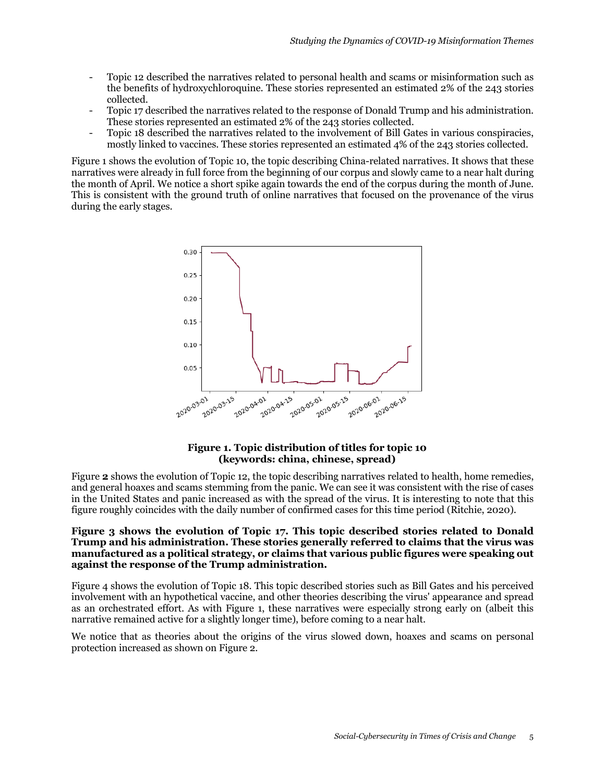- Topic 12 described the narratives related to personal health and scams or misinformation such as the benefits of hydroxychloroquine. These stories represented an estimated 2% of the 243 stories collected.
- Topic 17 described the narratives related to the response of Donald Trump and his administration. These stories represented an estimated 2% of the 243 stories collected.
- Topic 18 described the narratives related to the involvement of Bill Gates in various conspiracies, mostly linked to vaccines. These stories represented an estimated 4% of the 243 stories collected.

Figure 1 shows the evolution of Topic 10, the topic describing China-related narratives. It shows that these narratives were already in full force from the beginning of our corpus and slowly came to a near halt during the month of April. We notice a short spike again towards the end of the corpus during the month of June. This is consistent with the ground truth of online narratives that focused on the provenance of the virus during the early stages.



#### **Figure 1. Topic distribution of titles for topic 10 (keywords: china, chinese, spread)**

Figure 2 shows the evolution of Topic 12, the topic describing narratives related to health, home remedies, and general hoaxes and scams stemming from the panic. We can see it was consistent with the rise of cases in the United States and panic increased as with the spread of the virus. It is interesting to note that this figure roughly coincides with the daily number of confirmed cases for this time period (Ritchie, 2020).

#### **Figure 3 shows the evolution of Topic 17. This topic described stories related to Donald Trump and his administration. These stories generally referred to claims that the virus was manufactured as a political strategy, or claims that various public figures were speaking out against the response of the Trump administration.**

Figure 4 shows the evolution of Topic 18. This topic described stories such as Bill Gates and his perceived involvement with an hypothetical vaccine, and other theories describing the virus' appearance and spread as an orchestrated effort. As with Figure 1, these narratives were especially strong early on (albeit this narrative remained active for a slightly longer time), before coming to a near halt.

We notice that as theories about the origins of the virus slowed down, hoaxes and scams on personal protection increased as shown on Figure 2.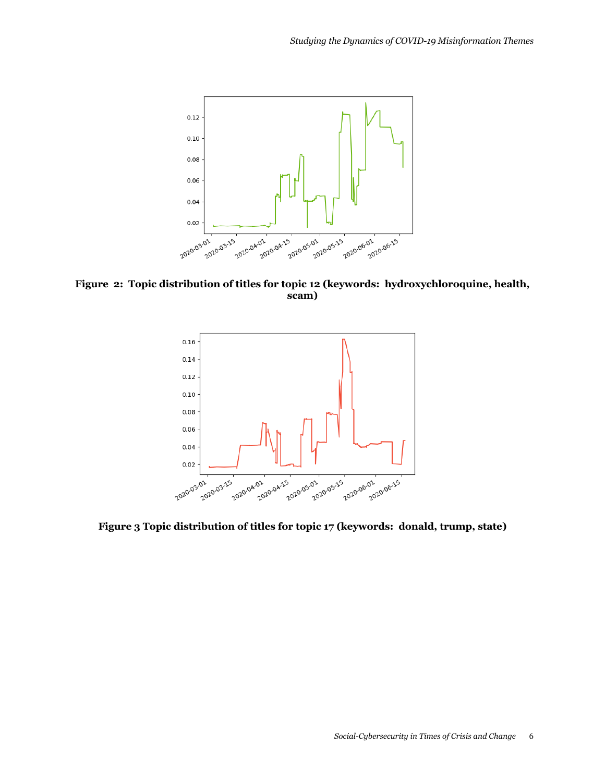

**Figure 2: Topic distribution of titles for topic 12 (keywords: hydroxychloroquine, health, scam)**



**Figure 3 Topic distribution of titles for topic 17 (keywords: donald, trump, state)**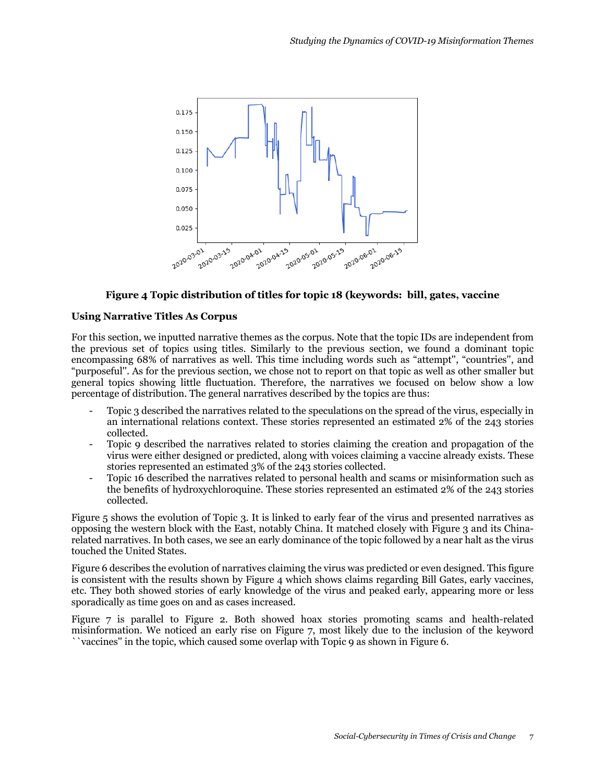

#### **Figure 4 Topic distribution of titles for topic 18 (keywords: bill, gates, vaccine**

#### **Using Narrative Titles As Corpus**

For this section, we inputted narrative themes as the corpus. Note that the topic IDs are independent from the previous set of topics using titles. Similarly to the previous section, we found a dominant topic encompassing 68% of narratives as well. This time including words such as "attempt'', "countries'', and "purposeful''. As for the previous section, we chose not to report on that topic as well as other smaller but general topics showing little fluctuation. Therefore, the narratives we focused on below show a low percentage of distribution. The general narratives described by the topics are thus:

- Topic 3 described the narratives related to the speculations on the spread of the virus, especially in an international relations context. These stories represented an estimated 2% of the 243 stories collected.
- Topic 9 described the narratives related to stories claiming the creation and propagation of the virus were either designed or predicted, along with voices claiming a vaccine already exists. These stories represented an estimated 3% of the 243 stories collected.
- Topic 16 described the narratives related to personal health and scams or misinformation such as the benefits of hydroxychloroquine. These stories represented an estimated 2% of the 243 stories collected.

Figure 5 shows the evolution of Topic 3. It is linked to early fear of the virus and presented narratives as opposing the western block with the East, notably China. It matched closely with Figure 3 and its Chinarelated narratives. In both cases, we see an early dominance of the topic followed by a near halt as the virus touched the United States.

Figure 6 describes the evolution of narratives claiming the virus was predicted or even designed. This figure is consistent with the results shown by Figure 4 which shows claims regarding Bill Gates, early vaccines, etc. They both showed stories of early knowledge of the virus and peaked early, appearing more or less sporadically as time goes on and as cases increased.

Figure 7 is parallel to Figure 2. Both showed hoax stories promoting scams and health-related misinformation. We noticed an early rise on Figure 7, most likely due to the inclusion of the keyword ``vaccines'' in the topic, which caused some overlap with Topic 9 as shown in Figure 6.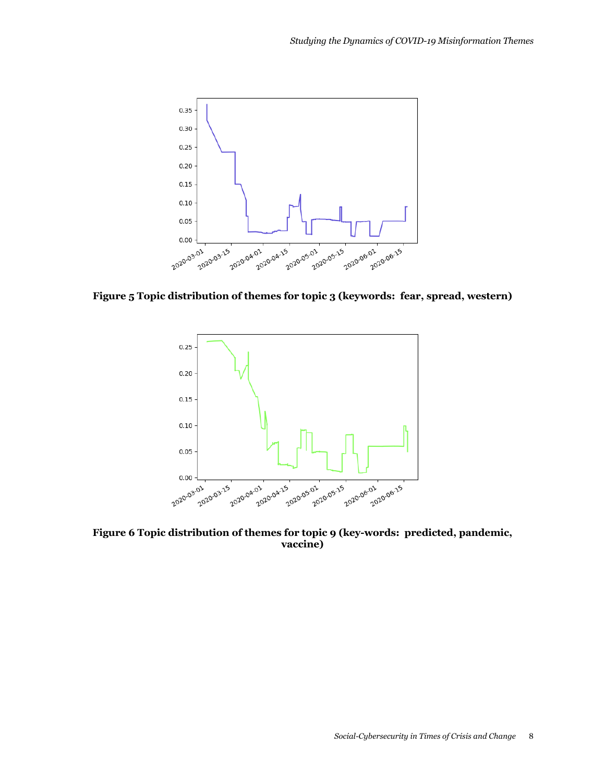

**Figure 5 Topic distribution of themes for topic 3 (keywords: fear, spread, western)**



**Figure 6 Topic distribution of themes for topic 9 (key-words: predicted, pandemic, vaccine)**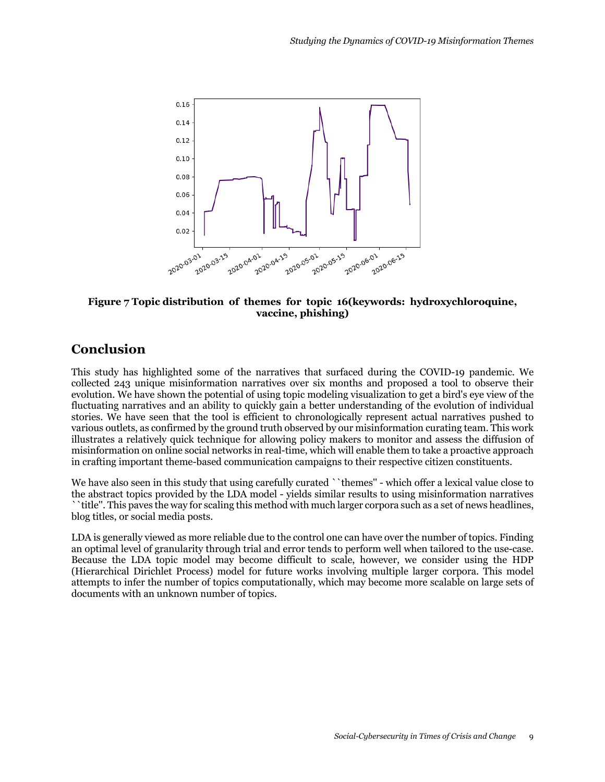

#### **Figure 7 Topic distribution of themes for topic 16(keywords: hydroxychloroquine, vaccine, phishing)**

# **Conclusion**

This study has highlighted some of the narratives that surfaced during the COVID-19 pandemic. We collected 243 unique misinformation narratives over six months and proposed a tool to observe their evolution. We have shown the potential of using topic modeling visualization to get a bird's eye view of the fluctuating narratives and an ability to quickly gain a better understanding of the evolution of individual stories. We have seen that the tool is efficient to chronologically represent actual narratives pushed to various outlets, as confirmed by the ground truth observed by our misinformation curating team. This work illustrates a relatively quick technique for allowing policy makers to monitor and assess the diffusion of misinformation on online social networks in real-time, which will enable them to take a proactive approach in crafting important theme-based communication campaigns to their respective citizen constituents.

We have also seen in this study that using carefully curated ``themes'' - which offer a lexical value close to the abstract topics provided by the LDA model - yields similar results to using misinformation narratives ``title''. This paves the way for scaling this method with much larger corpora such as a set of news headlines, blog titles, or social media posts.

LDA is generally viewed as more reliable due to the control one can have over the number of topics. Finding an optimal level of granularity through trial and error tends to perform well when tailored to the use-case. Because the LDA topic model may become difficult to scale, however, we consider using the HDP (Hierarchical Dirichlet Process) model for future works involving multiple larger corpora. This model attempts to infer the number of topics computationally, which may become more scalable on large sets of documents with an unknown number of topics.